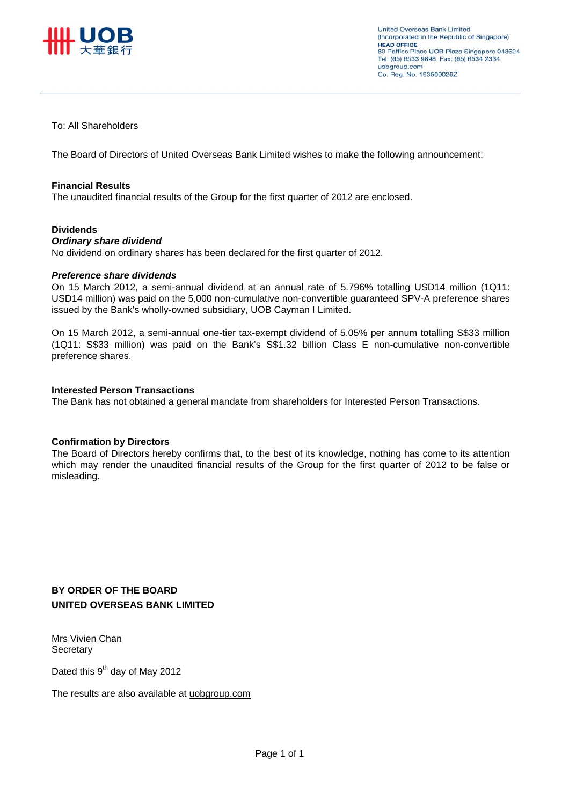

To: All Shareholders

The Board of Directors of United Overseas Bank Limited wishes to make the following announcement:

#### **Financial Results**

The unaudited financial results of the Group for the first quarter of 2012 are enclosed.

#### **Dividends**

#### *Ordinary share dividend*

No dividend on ordinary shares has been declared for the first quarter of 2012.

#### *Preference share dividends*

On 15 March 2012, a semi-annual dividend at an annual rate of 5.796% totalling USD14 million (1Q11: USD14 million) was paid on the 5,000 non-cumulative non-convertible guaranteed SPV-A preference shares issued by the Bank's wholly-owned subsidiary, UOB Cayman I Limited.

On 15 March 2012, a semi-annual one-tier tax-exempt dividend of 5.05% per annum totalling S\$33 million (1Q11: S\$33 million) was paid on the Bank's S\$1.32 billion Class E non-cumulative non-convertible preference shares.

#### **Interested Person Transactions**

The Bank has not obtained a general mandate from shareholders for Interested Person Transactions.

#### **Confirmation by Directors**

The Board of Directors hereby confirms that, to the best of its knowledge, nothing has come to its attention which may render the unaudited financial results of the Group for the first quarter of 2012 to be false or misleading.

#### **BY ORDER OF THE BOARD UNITED OVERSEAS BANK LIMITED**

Mrs Vivien Chan **Secretary** 

Dated this 9<sup>th</sup> day of May 2012

The results are also available at uobgroup.com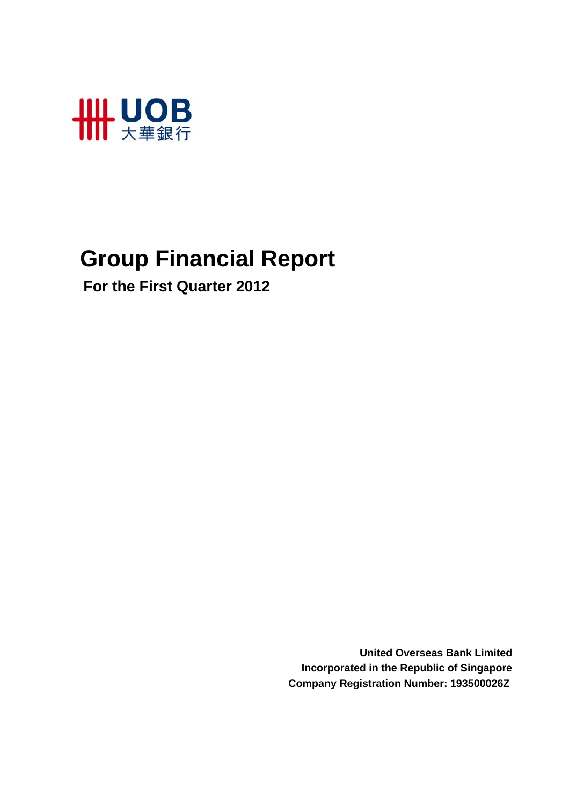

# **Group Financial Report**

 **For the First Quarter 2012**

**United Overseas Bank Limited Incorporated in the Republic of Singapore Company Registration Number: 193500026Z**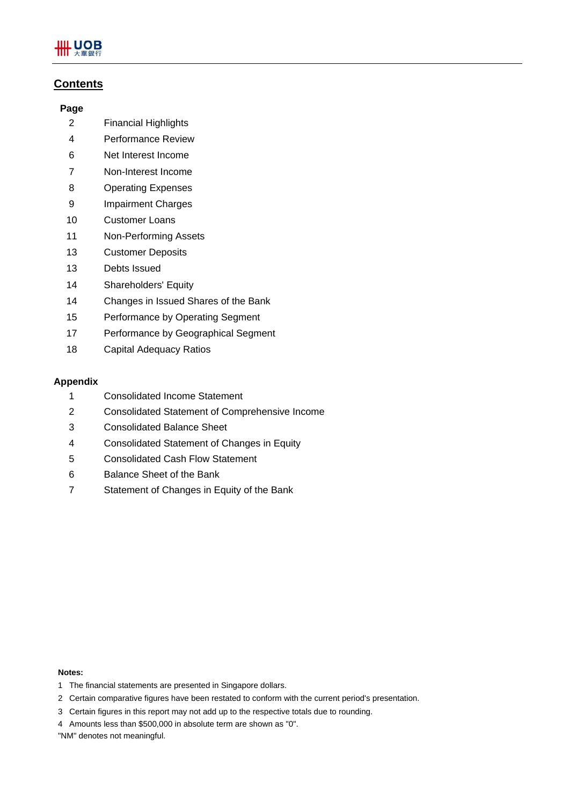

#### **Contents**

#### **Page**

- 2 Financial Highlights
- 4 Performance Review
- 6 Net Interest Income
- 7 Non-Interest Income
- 8 Operating Expenses
- 9 Impairment Charges
- 10 Customer Loans
- 11 Non-Performing Assets
- 13 Customer Deposits
- 13 Debts Issued
- 14 Shareholders' Equity
- 14 Changes in Issued Shares of the Bank
- 15 Performance by Operating Segment
- 17 Performance by Geographical Segment
- 18 Capital Adequacy Ratios

#### **Appendix**

- 1 Consolidated Income Statement
- 2 Consolidated Statement of Comprehensive Income
- 3 Consolidated Balance Sheet
- 4 Consolidated Statement of Changes in Equity
- 5 Consolidated Cash Flow Statement
- 6 Balance Sheet of the Bank
- 7 Statement of Changes in Equity of the Bank

#### **Notes:**

- 1 The financial statements are presented in Singapore dollars.
- 2 Certain comparative figures have been restated to conform with the current period's presentation.
- 3 Certain figures in this report may not add up to the respective totals due to rounding.
- 4 Amounts less than \$500,000 in absolute term are shown as "0".
- "NM" denotes not meaningful.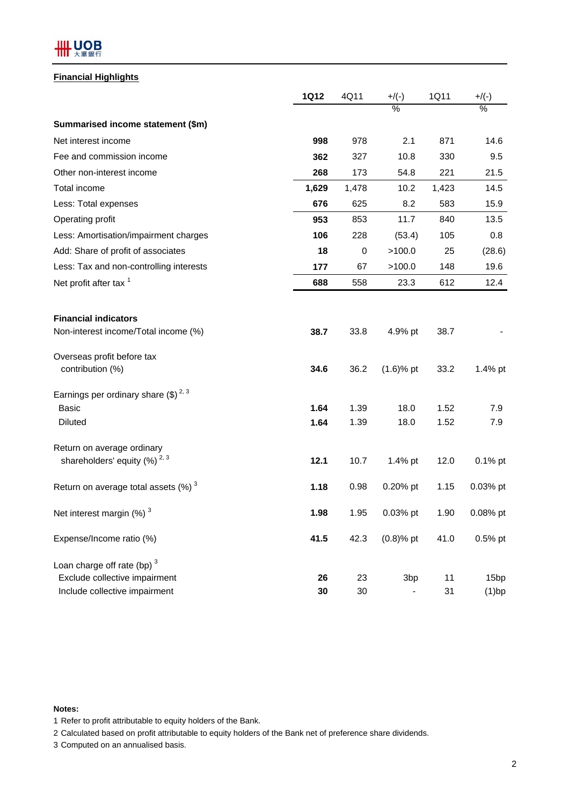## **HH UOB**

#### **Financial Highlights**

|                                                    | <b>1Q12</b> | 4Q11  | $+/(-)$         | 1Q11  | $+$ /(-)         |
|----------------------------------------------------|-------------|-------|-----------------|-------|------------------|
|                                                    |             |       | $\%$            |       | $\%$             |
| Summarised income statement (\$m)                  |             |       |                 |       |                  |
| Net interest income                                | 998         | 978   | 2.1             | 871   | 14.6             |
| Fee and commission income                          | 362         | 327   | 10.8            | 330   | 9.5              |
| Other non-interest income                          | 268         | 173   | 54.8            | 221   | 21.5             |
| Total income                                       | 1,629       | 1,478 | 10.2            | 1,423 | 14.5             |
| Less: Total expenses                               | 676         | 625   | 8.2             | 583   | 15.9             |
| Operating profit                                   | 953         | 853   | 11.7            | 840   | 13.5             |
| Less: Amortisation/impairment charges              | 106         | 228   | (53.4)          | 105   | 0.8              |
| Add: Share of profit of associates                 | 18          | 0     | >100.0          | 25    | (28.6)           |
| Less: Tax and non-controlling interests            | 177         | 67    | >100.0          | 148   | 19.6             |
| Net profit after tax <sup>1</sup>                  | 688         | 558   | 23.3            | 612   | 12.4             |
|                                                    |             |       |                 |       |                  |
| <b>Financial indicators</b>                        |             |       |                 |       |                  |
| Non-interest income/Total income (%)               | 38.7        | 33.8  | 4.9% pt         | 38.7  |                  |
| Overseas profit before tax                         |             |       |                 |       |                  |
| contribution (%)                                   | 34.6        | 36.2  | $(1.6)$ % pt    | 33.2  | 1.4% pt          |
| Earnings per ordinary share $(\text{$\$})^{2,3}$   |             |       |                 |       |                  |
| <b>Basic</b>                                       | 1.64        | 1.39  | 18.0            | 1.52  | 7.9              |
| <b>Diluted</b>                                     | 1.64        | 1.39  | 18.0            | 1.52  | 7.9              |
| Return on average ordinary                         |             |       |                 |       |                  |
| shareholders' equity $(%)^{2,3}$                   | 12.1        | 10.7  | 1.4% pt         | 12.0  | 0.1% pt          |
| Return on average total assets $(\%)$ <sup>3</sup> | 1.18        | 0.98  | 0.20% pt        | 1.15  | 0.03% pt         |
| Net interest margin (%) <sup>3</sup>               | 1.98        | 1.95  | 0.03% pt        | 1.90  | 0.08% pt         |
| Expense/Income ratio (%)                           | 41.5        | 42.3  | $(0.8)$ % pt    | 41.0  | 0.5% pt          |
| Loan charge off rate (bp) $3$                      |             |       |                 |       |                  |
| Exclude collective impairment                      | 26          | 23    | 3 <sub>bp</sub> | 11    | 15 <sub>bp</sub> |
| Include collective impairment                      | 30          | 30    |                 | 31    | $(1)$ bp         |

#### **Notes:**

1 Refer to profit attributable to equity holders of the Bank.

2 Calculated based on profit attributable to equity holders of the Bank net of preference share dividends.

3 Computed on an annualised basis.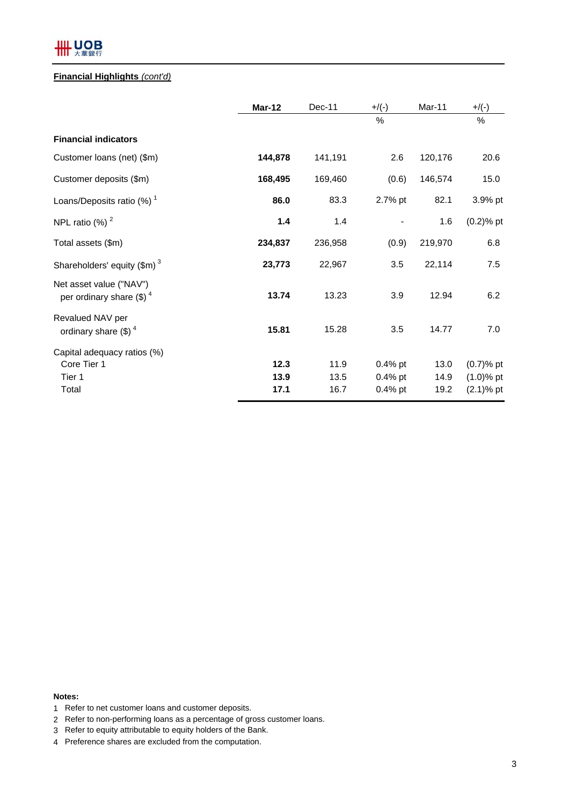## **HH UOB**

#### **Financial Highlights** *(cont'd)*

|                                                               | Mar-12  | $Dec-11$ | $+$ /(-)  | Mar-11  | $+/(-)$      |
|---------------------------------------------------------------|---------|----------|-----------|---------|--------------|
|                                                               |         |          | %         |         | $\%$         |
| <b>Financial indicators</b>                                   |         |          |           |         |              |
| Customer loans (net) (\$m)                                    | 144,878 | 141,191  | 2.6       | 120,176 | 20.6         |
| Customer deposits (\$m)                                       | 168,495 | 169,460  | (0.6)     | 146,574 | 15.0         |
| Loans/Deposits ratio $(\%)$ <sup>1</sup>                      | 86.0    | 83.3     | 2.7% pt   | 82.1    | 3.9% pt      |
| NPL ratio $(\%)$ <sup>2</sup>                                 | 1.4     | 1.4      |           | 1.6     | $(0.2)$ % pt |
| Total assets (\$m)                                            | 234,837 | 236,958  | (0.9)     | 219,970 | 6.8          |
| Shareholders' equity $(\text{Im})^3$                          | 23,773  | 22,967   | 3.5       | 22,114  | 7.5          |
| Net asset value ("NAV")<br>per ordinary share $(\text{\$})^4$ | 13.74   | 13.23    | 3.9       | 12.94   | 6.2          |
| Revalued NAV per<br>ordinary share $(\text{$\$})^4$           | 15.81   | 15.28    | 3.5       | 14.77   | 7.0          |
| Capital adequacy ratios (%)                                   |         |          |           |         |              |
| Core Tier 1                                                   | 12.3    | 11.9     | $0.4%$ pt | 13.0    | $(0.7)$ % pt |
| Tier 1                                                        | 13.9    | 13.5     | $0.4%$ pt | 14.9    | $(1.0)$ % pt |
| Total                                                         | 17.1    | 16.7     | $0.4%$ pt | 19.2    | $(2.1)$ % pt |

**Notes:**

- 1 Refer to net customer loans and customer deposits.
- 2 Refer to non-performing loans as a percentage of gross customer loans.
- 3 Refer to equity attributable to equity holders of the Bank.
- 4 Preference shares are excluded from the computation.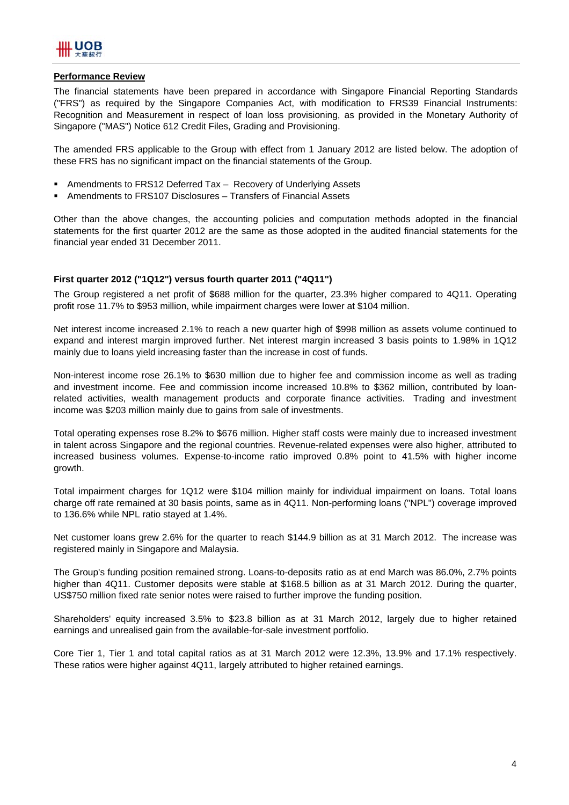

#### **Performance Review**

The financial statements have been prepared in accordance with Singapore Financial Reporting Standards ("FRS") as required by the Singapore Companies Act, with modification to FRS39 Financial Instruments: Recognition and Measurement in respect of loan loss provisioning, as provided in the Monetary Authority of Singapore ("MAS") Notice 612 Credit Files, Grading and Provisioning.

The amended FRS applicable to the Group with effect from 1 January 2012 are listed below. The adoption of these FRS has no significant impact on the financial statements of the Group.

- Amendments to FRS12 Deferred Tax Recovery of Underlying Assets
- Amendments to FRS107 Disclosures Transfers of Financial Assets

Other than the above changes, the accounting policies and computation methods adopted in the financial statements for the first quarter 2012 are the same as those adopted in the audited financial statements for the financial year ended 31 December 2011.

#### **First quarter 2012 ("1Q12") versus fourth quarter 2011 ("4Q11")**

The Group registered a net profit of \$688 million for the quarter, 23.3% higher compared to 4Q11. Operating profit rose 11.7% to \$953 million, while impairment charges were lower at \$104 million.

Net interest income increased 2.1% to reach a new quarter high of \$998 million as assets volume continued to expand and interest margin improved further. Net interest margin increased 3 basis points to 1.98% in 1Q12 mainly due to loans yield increasing faster than the increase in cost of funds.

Non-interest income rose 26.1% to \$630 million due to higher fee and commission income as well as trading and investment income. Fee and commission income increased 10.8% to \$362 million, contributed by loanrelated activities, wealth management products and corporate finance activities. Trading and investment income was \$203 million mainly due to gains from sale of investments.

Total operating expenses rose 8.2% to \$676 million. Higher staff costs were mainly due to increased investment in talent across Singapore and the regional countries. Revenue-related expenses were also higher, attributed to increased business volumes. Expense-to-income ratio improved 0.8% point to 41.5% with higher income growth.

Total impairment charges for 1Q12 were \$104 million mainly for individual impairment on loans. Total loans charge off rate remained at 30 basis points, same as in 4Q11. Non-performing loans ("NPL") coverage improved to 136.6% while NPL ratio stayed at 1.4%.

Net customer loans grew 2.6% for the quarter to reach \$144.9 billion as at 31 March 2012. The increase was registered mainly in Singapore and Malaysia.

The Group's funding position remained strong. Loans-to-deposits ratio as at end March was 86.0%, 2.7% points higher than 4Q11. Customer deposits were stable at \$168.5 billion as at 31 March 2012. During the quarter, US\$750 million fixed rate senior notes were raised to further improve the funding position.

Shareholders' equity increased 3.5% to \$23.8 billion as at 31 March 2012, largely due to higher retained earnings and unrealised gain from the available-for-sale investment portfolio.

Core Tier 1, Tier 1 and total capital ratios as at 31 March 2012 were 12.3%, 13.9% and 17.1% respectively. These ratios were higher against 4Q11, largely attributed to higher retained earnings.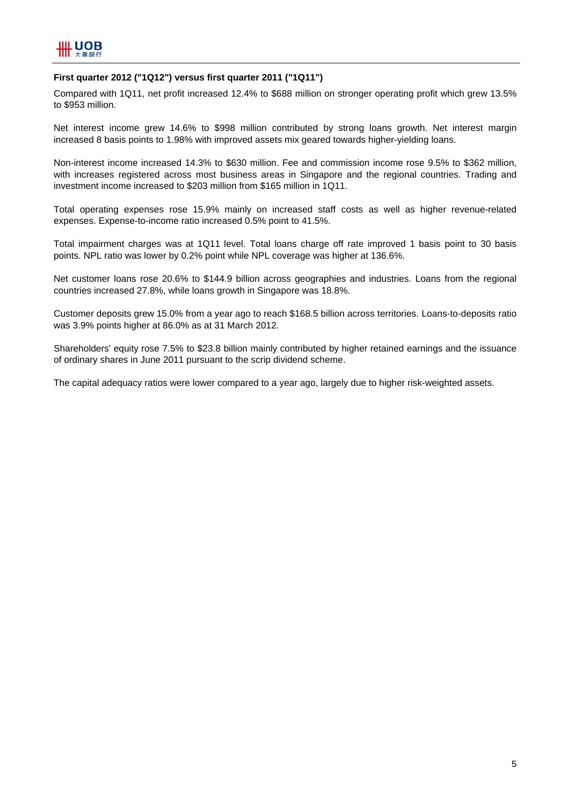

#### **First quarter 2012 ("1Q12") versus first quarter 2011 ("1Q11")**

Compared with 1Q11, net profit increased 12.4% to \$688 million on stronger operating profit which grew 13.5% to \$953 million.

Net interest income grew 14.6% to \$998 million contributed by strong loans growth. Net interest margin increased 8 basis points to 1.98% with improved assets mix geared towards higher-yielding loans.

Non-interest income increased 14.3% to \$630 million. Fee and commission income rose 9.5% to \$362 million, with increases registered across most business areas in Singapore and the regional countries. Trading and investment income increased to \$203 million from \$165 million in 1Q11.

Total operating expenses rose 15.9% mainly on increased staff costs as well as higher revenue-related expenses. Expense-to-income ratio increased 0.5% point to 41.5%.

Total impairment charges was at 1Q11 level. Total loans charge off rate improved 1 basis point to 30 basis points. NPL ratio was lower by 0.2% point while NPL coverage was higher at 136.6%.

Net customer loans rose 20.6% to \$144.9 billion across geographies and industries. Loans from the regional countries increased 27.8%, while loans growth in Singapore was 18.8%.

Customer deposits grew 15.0% from a year ago to reach \$168.5 billion across territories. Loans-to-deposits ratio was 3.9% points higher at 86.0% as at 31 March 2012.

Shareholders' equity rose 7.5% to \$23.8 billion mainly contributed by higher retained earnings and the issuance of ordinary shares in June 2011 pursuant to the scrip dividend scheme.

The capital adequacy ratios were lower compared to a year ago, largely due to higher risk-weighted assets.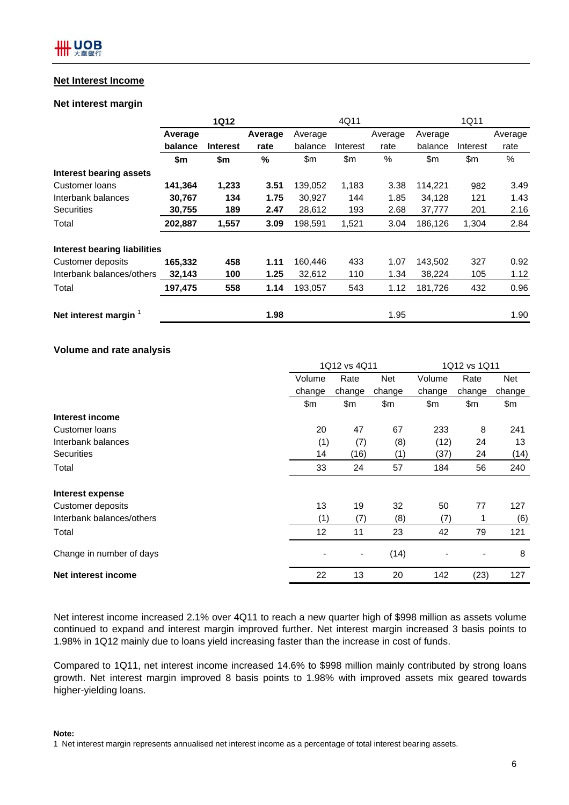#### **Net Interest Income**

#### **Net interest margin**

|                                |         | <b>1Q12</b>     |         |         | 4Q11     |         |         | 1Q11     |         |
|--------------------------------|---------|-----------------|---------|---------|----------|---------|---------|----------|---------|
|                                | Average |                 | Average | Average |          | Average | Average |          | Average |
|                                | balance | <b>Interest</b> | rate    | balance | Interest | rate    | balance | Interest | rate    |
|                                | \$m     | \$m             | %       | \$m     | \$m      | %       | \$m     | \$m      | %       |
| <b>Interest bearing assets</b> |         |                 |         |         |          |         |         |          |         |
| Customer Ioans                 | 141,364 | 1,233           | 3.51    | 139,052 | 1,183    | 3.38    | 114,221 | 982      | 3.49    |
| Interbank balances             | 30,767  | 134             | 1.75    | 30.927  | 144      | 1.85    | 34,128  | 121      | 1.43    |
| <b>Securities</b>              | 30,755  | 189             | 2.47    | 28,612  | 193      | 2.68    | 37,777  | 201      | 2.16    |
| Total                          | 202,887 | 1,557           | 3.09    | 198,591 | 1,521    | 3.04    | 186,126 | 1,304    | 2.84    |
| Interest bearing liabilities   |         |                 |         |         |          |         |         |          |         |
| Customer deposits              | 165,332 | 458             | 1.11    | 160,446 | 433      | 1.07    | 143,502 | 327      | 0.92    |
| Interbank balances/others      | 32,143  | 100             | 1.25    | 32,612  | 110      | 1.34    | 38,224  | 105      | 1.12    |
| Total                          | 197,475 | 558             | 1.14    | 193,057 | 543      | 1.12    | 181,726 | 432      | 0.96    |
| Net interest margin            |         |                 | 1.98    |         |          | 1.95    |         |          | 1.90    |

#### **Volume and rate analysis**

|                           |        | 1Q12 vs 4Q11   |        | 1Q12 vs 1Q11 |                              |        |  |
|---------------------------|--------|----------------|--------|--------------|------------------------------|--------|--|
|                           | Volume | Rate           | Net    | Volume       | Rate                         | Net    |  |
|                           | change | change         | change | change       | change                       | change |  |
|                           | \$m    | \$m            | \$m    | \$m          | \$m                          | \$m    |  |
| Interest income           |        |                |        |              |                              |        |  |
| Customer Ioans            | 20     | 47             | 67     | 233          | 8                            | 241    |  |
| Interbank balances        | (1)    | (7)            | (8)    | (12)         | 24                           | 13     |  |
| <b>Securities</b>         | 14     | (16)           | (1)    | (37)         | 24                           | (14)   |  |
| Total                     | 33     | 24             | 57     | 184          | 56                           | 240    |  |
| Interest expense          |        |                |        |              |                              |        |  |
| <b>Customer deposits</b>  | 13     | 19             | 32     | 50           | 77                           | 127    |  |
| Interbank balances/others | (1)    | (7)            | (8)    | (7)          | 1                            | (6)    |  |
| Total                     | 12     | 11             | 23     | 42           | 79                           | 121    |  |
| Change in number of days  |        | $\blacksquare$ | (14)   |              | $\qquad \qquad \blacksquare$ | 8      |  |
| Net interest income       | 22     | 13             | 20     | 142          | (23)                         | 127    |  |

Net interest income increased 2.1% over 4Q11 to reach a new quarter high of \$998 million as assets volume continued to expand and interest margin improved further. Net interest margin increased 3 basis points to 1.98% in 1Q12 mainly due to loans yield increasing faster than the increase in cost of funds.

Compared to 1Q11, net interest income increased 14.6% to \$998 million mainly contributed by strong loans growth. Net interest margin improved 8 basis points to 1.98% with improved assets mix geared towards higher-yielding loans.

#### **Note:**

1 Net interest margin represents annualised net interest income as a percentage of total interest bearing assets.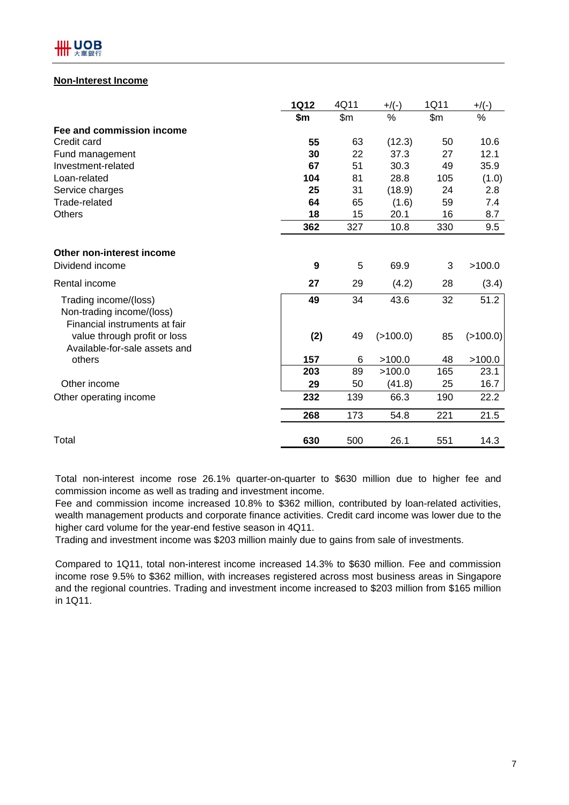

#### **Non-Interest Income**

|                                                                                     | <b>1Q12</b> | 4Q11  | $+$ /(-) | 1Q11  | +/(-)       |
|-------------------------------------------------------------------------------------|-------------|-------|----------|-------|-------------|
|                                                                                     | \$m         | \$m\$ | %        | \$m\$ | $\%$        |
| Fee and commission income                                                           |             |       |          |       |             |
| Credit card                                                                         | 55          | 63    | (12.3)   | 50    | 10.6        |
| Fund management                                                                     | 30          | 22    | 37.3     | 27    | 12.1        |
| Investment-related                                                                  | 67          | 51    | 30.3     | 49    | 35.9        |
| Loan-related                                                                        | 104         | 81    | 28.8     | 105   | (1.0)       |
| Service charges                                                                     | 25          | 31    | (18.9)   | 24    | 2.8         |
| Trade-related                                                                       | 64          | 65    | (1.6)    | 59    | 7.4         |
| <b>Others</b>                                                                       | 18          | 15    | 20.1     | 16    | 8.7         |
|                                                                                     | 362         | 327   | 10.8     | 330   | 9.5         |
| Other non-interest income                                                           |             |       |          |       |             |
| Dividend income                                                                     | 9           | 5     | 69.9     | 3     | >100.0      |
| Rental income                                                                       | 27          | 29    | (4.2)    | 28    | (3.4)       |
| Trading income/(loss)<br>Non-trading income/(loss)<br>Financial instruments at fair | 49          | 34    | 43.6     | 32    | 51.2        |
| value through profit or loss<br>Available-for-sale assets and                       | (2)         | 49    | (>100.0) | 85    | $($ >100.0) |
| others                                                                              | 157         | 6     | >100.0   | 48    | >100.0      |
|                                                                                     | 203         | 89    | >100.0   | 165   | 23.1        |
| Other income                                                                        | 29          | 50    | (41.8)   | 25    | 16.7        |
| Other operating income                                                              | 232         | 139   | 66.3     | 190   | 22.2        |
|                                                                                     | 268         | 173   | 54.8     | 221   | 21.5        |
| Total                                                                               | 630         | 500   | 26.1     | 551   | 14.3        |

Total non-interest income rose 26.1% quarter-on-quarter to \$630 million due to higher fee and commission income as well as trading and investment income.

Fee and commission income increased 10.8% to \$362 million, contributed by loan-related activities, wealth management products and corporate finance activities. Credit card income was lower due to the higher card volume for the year-end festive season in 4Q11.

Trading and investment income was \$203 million mainly due to gains from sale of investments.

Compared to 1Q11, total non-interest income increased 14.3% to \$630 million. Fee and commission income rose 9.5% to \$362 million, with increases registered across most business areas in Singapore and the regional countries. Trading and investment income increased to \$203 million from \$165 million in 1Q11.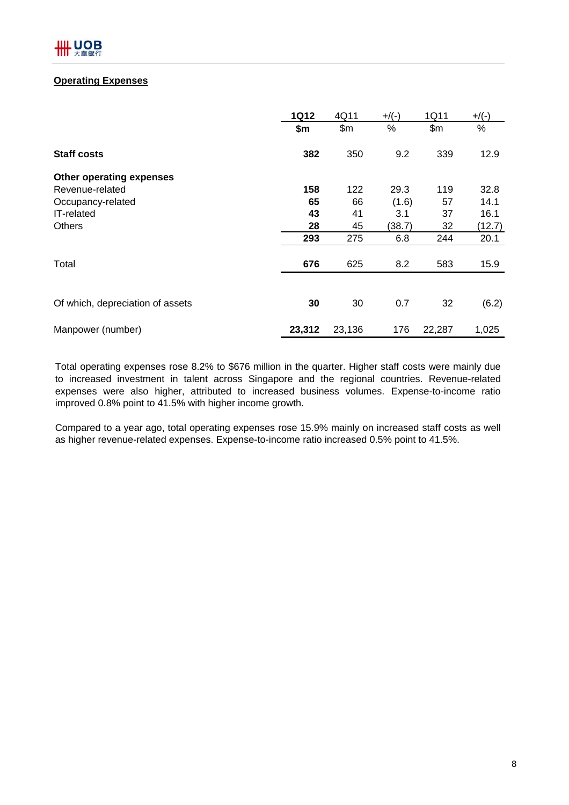#### **Operating Expenses**

|                                  | <b>1Q12</b> | 4Q11   | $+$ /(-) | 1Q11   | $+$ /(-) |
|----------------------------------|-------------|--------|----------|--------|----------|
|                                  | \$m\$       | \$m\$  | $\%$     | \$m\$  | %        |
| <b>Staff costs</b>               | 382         | 350    | 9.2      | 339    | 12.9     |
| <b>Other operating expenses</b>  |             |        |          |        |          |
| Revenue-related                  | 158         | 122    | 29.3     | 119    | 32.8     |
| Occupancy-related                | 65          | 66     | (1.6)    | 57     | 14.1     |
| IT-related                       | 43          | 41     | 3.1      | 37     | 16.1     |
| <b>Others</b>                    | 28          | 45     | (38.7)   | 32     | (12.7)   |
|                                  | 293         | 275    | 6.8      | 244    | 20.1     |
| Total                            | 676         | 625    | 8.2      | 583    | 15.9     |
|                                  |             |        |          |        |          |
| Of which, depreciation of assets | 30          | 30     | 0.7      | 32     | (6.2)    |
| Manpower (number)                | 23,312      | 23,136 | 176      | 22,287 | 1,025    |

Total operating expenses rose 8.2% to \$676 million in the quarter. Higher staff costs were mainly due to increased investment in talent across Singapore and the regional countries. Revenue-related expenses were also higher, attributed to increased business volumes. Expense-to-income ratio improved 0.8% point to 41.5% with higher income growth.

Compared to a year ago, total operating expenses rose 15.9% mainly on increased staff costs as well as higher revenue-related expenses. Expense-to-income ratio increased 0.5% point to 41.5%.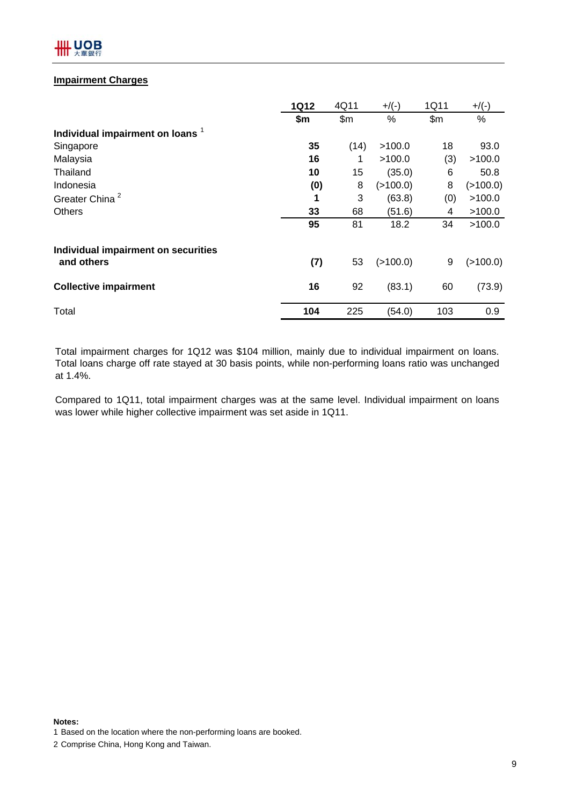

#### **Impairment Charges**

|                                             | <b>1Q12</b> | 4Q11  | $+$ /(-) | 1Q11  | $+$ /(-) |
|---------------------------------------------|-------------|-------|----------|-------|----------|
|                                             | \$m         | \$m\$ | %        | \$m\$ | %        |
| Individual impairment on loans <sup>1</sup> |             |       |          |       |          |
| Singapore                                   | 35          | (14)  | >100.0   | 18    | 93.0     |
| Malaysia                                    | 16          | 1     | >100.0   | (3)   | >100.0   |
| Thailand                                    | 10          | 15    | (35.0)   | 6     | 50.8     |
| Indonesia                                   | (0)         | 8     | (>100.0) | 8     | (>100.0) |
| Greater China <sup>2</sup>                  | 1           | 3     | (63.8)   | (0)   | >100.0   |
| <b>Others</b>                               | 33          | 68    | (51.6)   | 4     | >100.0   |
|                                             | 95          | 81    | 18.2     | 34    | >100.0   |
| Individual impairment on securities         |             |       |          |       |          |
| and others                                  | (7)         | 53    | (>100.0) | 9     | (>100.0) |
| <b>Collective impairment</b>                | 16          | 92    | (83.1)   | 60    | (73.9)   |
| Total                                       | 104         | 225   | (54.0)   | 103   | 0.9      |

Total impairment charges for 1Q12 was \$104 million, mainly due to individual impairment on loans. Total loans charge off rate stayed at 30 basis points, while non-performing loans ratio was unchanged at 1.4%.

Compared to 1Q11, total impairment charges was at the same level. Individual impairment on loans was lower while higher collective impairment was set aside in 1Q11.

**Notes:**

1 Based on the location where the non-performing loans are booked.

2 Comprise China, Hong Kong and Taiwan.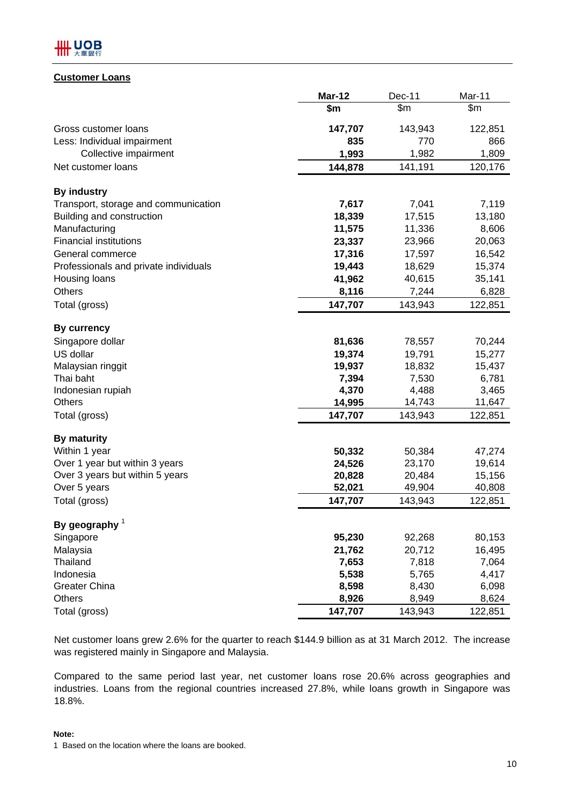

#### **Customer Loans**

|                                       | $Mar-12$ | Dec-11  | Mar-11  |
|---------------------------------------|----------|---------|---------|
|                                       | \$m      | \$m\$   | \$m\$   |
| Gross customer loans                  | 147,707  | 143,943 | 122,851 |
| Less: Individual impairment           | 835      | 770     | 866     |
| Collective impairment                 | 1,993    | 1,982   | 1,809   |
| Net customer loans                    | 144,878  | 141,191 | 120,176 |
| <b>By industry</b>                    |          |         |         |
| Transport, storage and communication  | 7,617    | 7,041   | 7,119   |
| Building and construction             | 18,339   | 17,515  | 13,180  |
| Manufacturing                         | 11,575   | 11,336  | 8,606   |
| <b>Financial institutions</b>         | 23,337   | 23,966  | 20,063  |
| General commerce                      | 17,316   | 17,597  | 16,542  |
| Professionals and private individuals | 19,443   | 18,629  | 15,374  |
| Housing loans                         | 41,962   | 40,615  | 35,141  |
| Others                                | 8,116    | 7,244   | 6,828   |
| Total (gross)                         | 147,707  | 143,943 | 122,851 |
| <b>By currency</b>                    |          |         |         |
| Singapore dollar                      | 81,636   | 78,557  | 70,244  |
| US dollar                             | 19,374   | 19,791  | 15,277  |
| Malaysian ringgit                     | 19,937   | 18,832  | 15,437  |
| Thai baht                             | 7,394    | 7,530   | 6,781   |
| Indonesian rupiah                     | 4,370    | 4,488   | 3,465   |
| <b>Others</b>                         | 14,995   | 14,743  | 11,647  |
| Total (gross)                         | 147,707  | 143,943 | 122,851 |
| <b>By maturity</b>                    |          |         |         |
| Within 1 year                         | 50,332   | 50,384  | 47,274  |
| Over 1 year but within 3 years        | 24,526   | 23,170  | 19,614  |
| Over 3 years but within 5 years       | 20,828   | 20,484  | 15,156  |
| Over 5 years                          | 52,021   | 49,904  | 40,808  |
| Total (gross)                         | 147,707  | 143,943 | 122,851 |
| By geography $1$                      |          |         |         |
| Singapore                             | 95,230   | 92,268  | 80,153  |
| Malaysia                              | 21,762   | 20,712  | 16,495  |
| <b>Thailand</b>                       | 7,653    | 7,818   | 7,064   |
| Indonesia                             | 5,538    | 5,765   | 4,417   |
| <b>Greater China</b>                  | 8,598    | 8,430   | 6,098   |
| <b>Others</b>                         | 8,926    | 8,949   | 8,624   |
| Total (gross)                         | 147,707  | 143,943 | 122,851 |

Net customer loans grew 2.6% for the quarter to reach \$144.9 billion as at 31 March 2012. The increase was registered mainly in Singapore and Malaysia.

Compared to the same period last year, net customer loans rose 20.6% across geographies and industries. Loans from the regional countries increased 27.8%, while loans growth in Singapore was 18.8%.

#### **Note:**

<sup>1</sup> Based on the location where the loans are booked.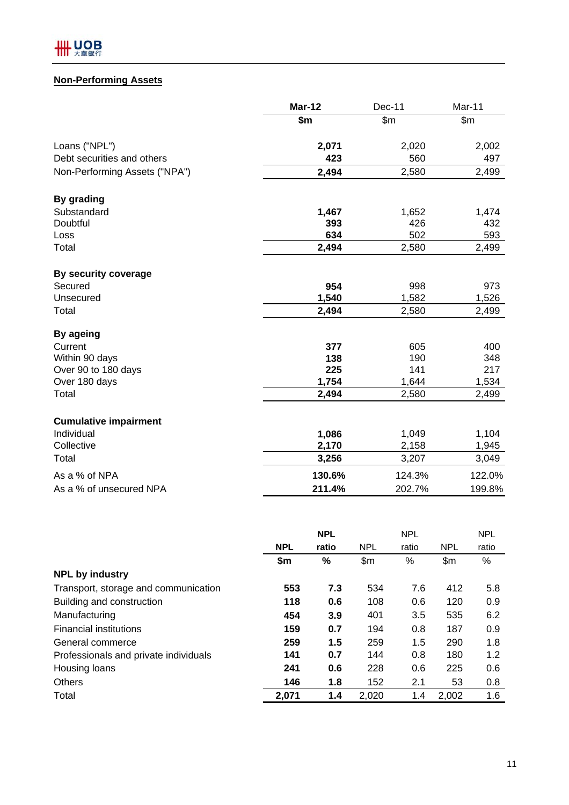### **Non-Performing Assets**

|                               | <b>Mar-12</b> | Dec-11 | Mar-11 |
|-------------------------------|---------------|--------|--------|
|                               | \$m\$         | \$m\$  | \$m\$  |
| Loans ("NPL")                 | 2,071         | 2,020  | 2,002  |
| Debt securities and others    | 423           | 560    | 497    |
| Non-Performing Assets ("NPA") | 2,494         | 2,580  | 2,499  |
| By grading                    |               |        |        |
| Substandard                   | 1,467         | 1,652  | 1,474  |
| Doubtful                      | 393           | 426    | 432    |
| Loss                          | 634           | 502    | 593    |
| Total                         | 2,494         | 2,580  | 2,499  |
| By security coverage          |               |        |        |
| Secured                       | 954           | 998    | 973    |
| Unsecured                     | 1,540         | 1,582  | 1,526  |
| Total                         | 2,494         | 2,580  | 2,499  |
| <b>By ageing</b>              |               |        |        |
| Current                       | 377           | 605    | 400    |
| Within 90 days                | 138           | 190    | 348    |
| Over 90 to 180 days           | 225           | 141    | 217    |
| Over 180 days                 | 1,754         | 1,644  | 1,534  |
| Total                         | 2,494         | 2,580  | 2,499  |
| <b>Cumulative impairment</b>  |               |        |        |
| Individual                    | 1,086         | 1,049  | 1,104  |
| Collective                    | 2,170         | 2,158  | 1,945  |
| Total                         | 3,256         | 3,207  | 3,049  |
| As a % of NPA                 | 130.6%        | 124.3% | 122.0% |
| As a % of unsecured NPA       | 211.4%        | 202.7% | 199.8% |

|                                       |            | <b>NPL</b> |            | <b>NPL</b> |            | <b>NPL</b> |
|---------------------------------------|------------|------------|------------|------------|------------|------------|
|                                       | <b>NPL</b> | ratio      | <b>NPL</b> | ratio      | <b>NPL</b> | ratio      |
|                                       | \$m        | %          | \$m\$      | %          | \$m\$      | %          |
| <b>NPL by industry</b>                |            |            |            |            |            |            |
| Transport, storage and communication  | 553        | 7.3        | 534        | 7.6        | 412        | 5.8        |
| Building and construction             | 118        | 0.6        | 108        | 0.6        | 120        | 0.9        |
| Manufacturing                         | 454        | 3.9        | 401        | 3.5        | 535        | 6.2        |
| <b>Financial institutions</b>         | 159        | 0.7        | 194        | 0.8        | 187        | 0.9        |
| General commerce                      | 259        | 1.5        | 259        | 1.5        | 290        | 1.8        |
| Professionals and private individuals | 141        | 0.7        | 144        | 0.8        | 180        | 1.2        |
| Housing loans                         | 241        | 0.6        | 228        | 0.6        | 225        | 0.6        |
| <b>Others</b>                         | 146        | 1.8        | 152        | 2.1        | 53         | 0.8        |
| Total                                 | 2,071      | 1.4        | 2,020      | 1.4        | 2,002      | 1.6        |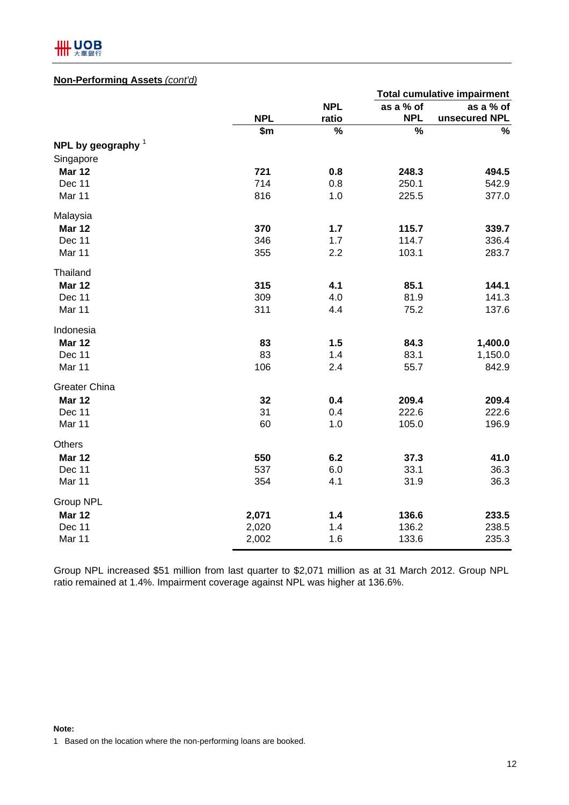

#### **Non-Performing Assets** *(cont'd)*

|                      |            |            |               | <b>Total cumulative impairment</b> |
|----------------------|------------|------------|---------------|------------------------------------|
|                      |            | <b>NPL</b> | as a % of     | as a % of                          |
|                      | <b>NPL</b> | ratio      | <b>NPL</b>    | unsecured NPL                      |
|                      | \$m        | %          | $\frac{1}{2}$ | $\%$                               |
| NPL by geography $1$ |            |            |               |                                    |
| Singapore            |            |            |               |                                    |
| <b>Mar 12</b>        | 721        | 0.8        | 248.3         | 494.5                              |
| Dec 11               | 714        | 0.8        | 250.1         | 542.9                              |
| Mar 11               | 816        | 1.0        | 225.5         | 377.0                              |
| Malaysia             |            |            |               |                                    |
| <b>Mar 12</b>        | 370        | 1.7        | 115.7         | 339.7                              |
| Dec 11               | 346        | 1.7        | 114.7         | 336.4                              |
| Mar 11               | 355        | 2.2        | 103.1         | 283.7                              |
| Thailand             |            |            |               |                                    |
| <b>Mar 12</b>        | 315        | 4.1        | 85.1          | 144.1                              |
| Dec 11               | 309        | 4.0        | 81.9          | 141.3                              |
| Mar 11               | 311        | 4.4        | 75.2          | 137.6                              |
| Indonesia            |            |            |               |                                    |
| <b>Mar 12</b>        | 83         | 1.5        | 84.3          | 1,400.0                            |
| Dec 11               | 83         | 1.4        | 83.1          | 1,150.0                            |
| Mar 11               | 106        | 2.4        | 55.7          | 842.9                              |
| Greater China        |            |            |               |                                    |
| <b>Mar 12</b>        | 32         | 0.4        | 209.4         | 209.4                              |
| Dec 11               | 31         | 0.4        | 222.6         | 222.6                              |
| Mar 11               | 60         | 1.0        | 105.0         | 196.9                              |
| Others               |            |            |               |                                    |
| <b>Mar 12</b>        | 550        | 6.2        | 37.3          | 41.0                               |
| Dec 11               | 537        | 6.0        | 33.1          | 36.3                               |
| Mar 11               | 354        | 4.1        | 31.9          | 36.3                               |
| Group NPL            |            |            |               |                                    |
| <b>Mar 12</b>        | 2,071      | $1.4$      | 136.6         | 233.5                              |
| Dec 11               | 2,020      | 1.4        | 136.2         | 238.5                              |
| Mar 11               | 2,002      | 1.6        | 133.6         | 235.3                              |

Group NPL increased \$51 million from last quarter to \$2,071 million as at 31 March 2012. Group NPL ratio remained at 1.4%. Impairment coverage against NPL was higher at 136.6%.

#### **Note:**

1 Based on the location where the non-performing loans are booked.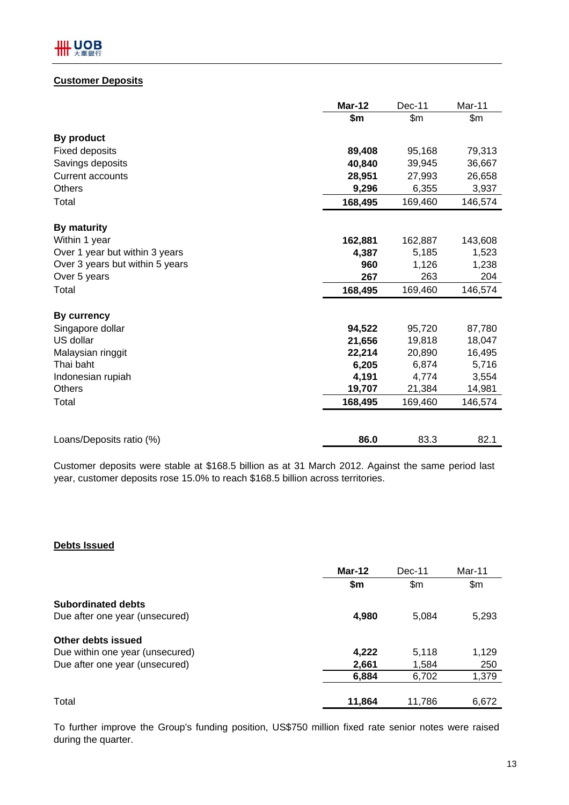#### **Customer Deposits**

|                                 | <b>Mar-12</b> | Dec-11  | Mar-11  |
|---------------------------------|---------------|---------|---------|
|                                 | \$m           | \$m\$   | \$m\$   |
| By product                      |               |         |         |
| <b>Fixed deposits</b>           | 89,408        | 95,168  | 79,313  |
| Savings deposits                | 40,840        | 39,945  | 36,667  |
| <b>Current accounts</b>         | 28,951        | 27,993  | 26,658  |
| <b>Others</b>                   | 9,296         | 6,355   | 3,937   |
| Total                           | 168,495       | 169,460 | 146,574 |
| <b>By maturity</b>              |               |         |         |
| Within 1 year                   | 162,881       | 162,887 | 143,608 |
| Over 1 year but within 3 years  | 4,387         | 5,185   | 1,523   |
| Over 3 years but within 5 years | 960           | 1,126   | 1,238   |
| Over 5 years                    | 267           | 263     | 204     |
| Total                           | 168,495       | 169,460 | 146,574 |
| By currency                     |               |         |         |
| Singapore dollar                | 94,522        | 95,720  | 87,780  |
| US dollar                       | 21,656        | 19,818  | 18,047  |
| Malaysian ringgit               | 22,214        | 20,890  | 16,495  |
| Thai baht                       | 6,205         | 6,874   | 5,716   |
| Indonesian rupiah               | 4,191         | 4,774   | 3,554   |
| <b>Others</b>                   | 19,707        | 21,384  | 14,981  |
| Total                           | 168,495       | 169,460 | 146,574 |
|                                 |               |         |         |
| Loans/Deposits ratio (%)        | 86.0          | 83.3    | 82.1    |

Customer deposits were stable at \$168.5 billion as at 31 March 2012. Against the same period last year, customer deposits rose 15.0% to reach \$168.5 billion across territories.

#### **Debts Issued**

|                                 | $Mar-12$ | Dec-11 | Mar-11 |
|---------------------------------|----------|--------|--------|
|                                 | \$m      | \$m    | \$m\$  |
| <b>Subordinated debts</b>       |          |        |        |
| Due after one year (unsecured)  | 4,980    | 5,084  | 5,293  |
| Other debts issued              |          |        |        |
| Due within one year (unsecured) | 4,222    | 5,118  | 1,129  |
| Due after one year (unsecured)  | 2,661    | 1,584  | 250    |
|                                 | 6,884    | 6,702  | 1,379  |
| Total                           | 11,864   | 11,786 | 6,672  |

To further improve the Group's funding position, US\$750 million fixed rate senior notes were raised during the quarter.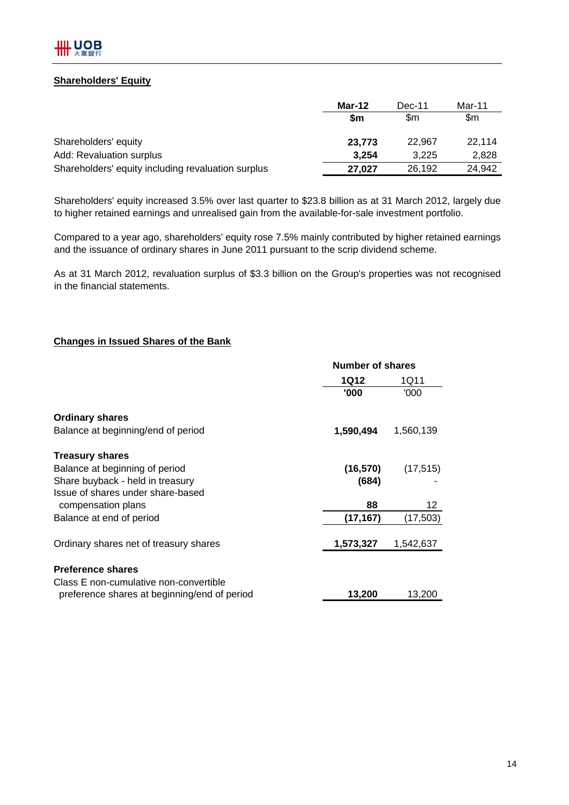#### **Shareholders' Equity**

|                                                    | Mar-12 | Dec-11 | Mar-11 |
|----------------------------------------------------|--------|--------|--------|
|                                                    | \$m    | \$m    | \$m    |
| Shareholders' equity                               | 23.773 | 22.967 | 22.114 |
| Add: Revaluation surplus                           | 3,254  | 3.225  | 2,828  |
| Shareholders' equity including revaluation surplus | 27.027 | 26,192 | 24.942 |

Shareholders' equity increased 3.5% over last quarter to \$23.8 billion as at 31 March 2012, largely due to higher retained earnings and unrealised gain from the available-for-sale investment portfolio.

Compared to a year ago, shareholders' equity rose 7.5% mainly contributed by higher retained earnings and the issuance of ordinary shares in June 2011 pursuant to the scrip dividend scheme.

As at 31 March 2012, revaluation surplus of \$3.3 billion on the Group's properties was not recognised in the financial statements.

#### **Changes in Issued Shares of the Bank**

|                                              | <b>Number of shares</b> |           |  |
|----------------------------------------------|-------------------------|-----------|--|
|                                              | 1Q12                    | 1Q11      |  |
|                                              | '000                    | '000      |  |
| <b>Ordinary shares</b>                       |                         |           |  |
| Balance at beginning/end of period           | 1,590,494               | 1,560,139 |  |
| <b>Treasury shares</b>                       |                         |           |  |
| Balance at beginning of period               | (16, 570)               | (17, 515) |  |
| Share buyback - held in treasury             | (684)                   |           |  |
| Issue of shares under share-based            |                         |           |  |
| compensation plans                           | 88                      | 12        |  |
| Balance at end of period                     | (17, 167)               | (17,503)  |  |
| Ordinary shares net of treasury shares       | 1,573,327               | 1,542,637 |  |
|                                              |                         |           |  |
| <b>Preference shares</b>                     |                         |           |  |
| Class E non-cumulative non-convertible       |                         |           |  |
| preference shares at beginning/end of period | 13,200                  | 13,200    |  |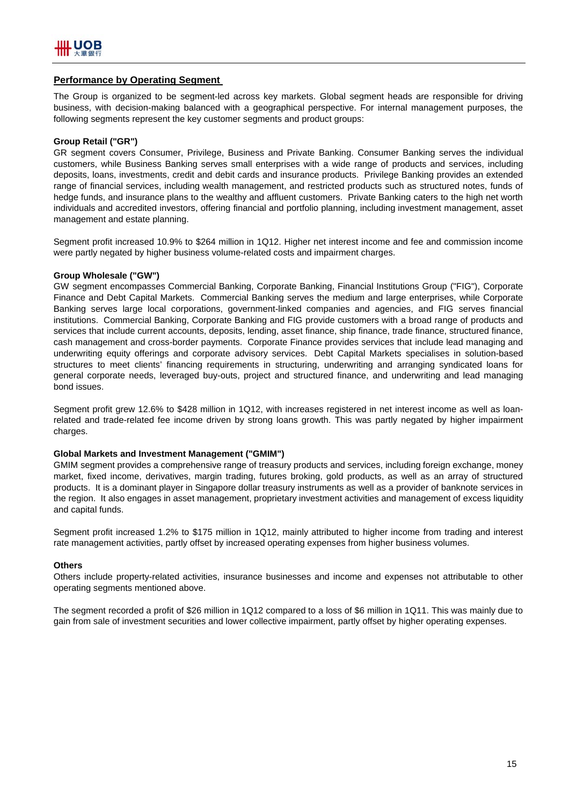#### **Performance by Operating Segment**

The Group is organized to be segment-led across key markets. Global segment heads are responsible for driving business, with decision-making balanced with a geographical perspective. For internal management purposes, the following segments represent the key customer segments and product groups:

#### **Group Retail ("GR")**

GR segment covers Consumer, Privilege, Business and Private Banking. Consumer Banking serves the individual customers, while Business Banking serves small enterprises with a wide range of products and services, including deposits, loans, investments, credit and debit cards and insurance products. Privilege Banking provides an extended range of financial services, including wealth management, and restricted products such as structured notes, funds of hedge funds, and insurance plans to the wealthy and affluent customers. Private Banking caters to the high net worth individuals and accredited investors, offering financial and portfolio planning, including investment management, asset management and estate planning.

Segment profit increased 10.9% to \$264 million in 1Q12. Higher net interest income and fee and commission income were partly negated by higher business volume-related costs and impairment charges.

#### **Group Wholesale ("GW")**

GW segment encompasses Commercial Banking, Corporate Banking, Financial Institutions Group ("FIG"), Corporate Finance and Debt Capital Markets. Commercial Banking serves the medium and large enterprises, while Corporate Banking serves large local corporations, government-linked companies and agencies, and FIG serves financial institutions. Commercial Banking, Corporate Banking and FIG provide customers with a broad range of products and services that include current accounts, deposits, lending, asset finance, ship finance, trade finance, structured finance, cash management and cross-border payments. Corporate Finance provides services that include lead managing and underwriting equity offerings and corporate advisory services. Debt Capital Markets specialises in solution-based structures to meet clients' financing requirements in structuring, underwriting and arranging syndicated loans for general corporate needs, leveraged buy-outs, project and structured finance, and underwriting and lead managing bond issues.

Segment profit grew 12.6% to \$428 million in 1Q12, with increases registered in net interest income as well as loanrelated and trade-related fee income driven by strong loans growth. This was partly negated by higher impairment charges.

#### **Global Markets and Investment Management ("GMIM")**

GMIM segment provides a comprehensive range of treasury products and services, including foreign exchange, money market, fixed income, derivatives, margin trading, futures broking, gold products, as well as an array of structured products. It is a dominant player in Singapore dollar treasury instruments as well as a provider of banknote services in the region. It also engages in asset management, proprietary investment activities and management of excess liquidity and capital funds.

Segment profit increased 1.2% to \$175 million in 1Q12, mainly attributed to higher income from trading and interest rate management activities, partly offset by increased operating expenses from higher business volumes.

#### **Others**

Others include property-related activities, insurance businesses and income and expenses not attributable to other operating segments mentioned above.

The segment recorded a profit of \$26 million in 1Q12 compared to a loss of \$6 million in 1Q11. This was mainly due to gain from sale of investment securities and lower collective impairment, partly offset by higher operating expenses.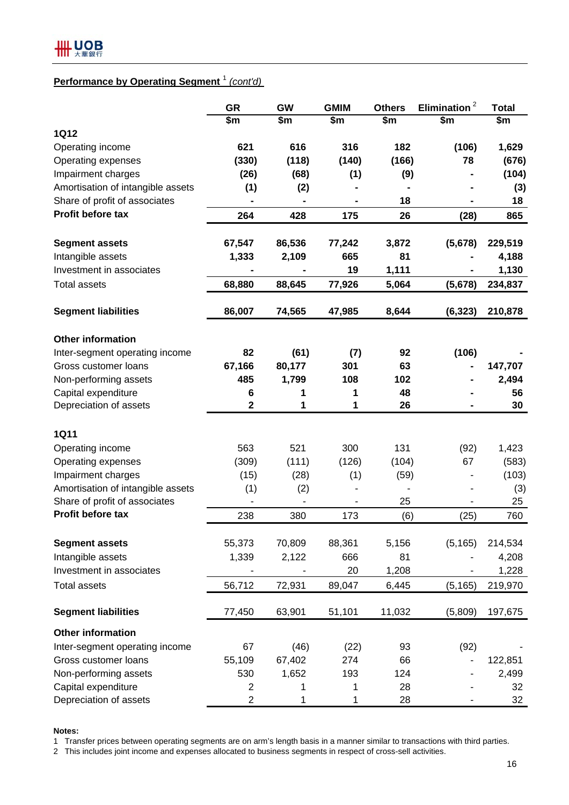## **Performance by Operating Segment** <sup>1</sup> *(cont'd)*

|                                   | <b>GR</b>   | GW     | <b>GMIM</b> | <b>Others</b> | Elimination <sup>2</sup> | <b>Total</b>  |
|-----------------------------------|-------------|--------|-------------|---------------|--------------------------|---------------|
|                                   | \$m         | \$m\$  | \$m\$       | $\frac{2}{3}$ | $\frac{2}{3}$            | $\frac{2}{3}$ |
| <b>1Q12</b>                       |             |        |             |               |                          |               |
| Operating income                  | 621         | 616    | 316         | 182           | (106)                    | 1,629         |
| Operating expenses                | (330)       | (118)  | (140)       | (166)         | 78                       | (676)         |
| Impairment charges                | (26)        | (68)   | (1)         | (9)           |                          | (104)         |
| Amortisation of intangible assets | (1)         | (2)    |             |               |                          | (3)           |
| Share of profit of associates     |             |        |             | 18            |                          | 18            |
| Profit before tax                 | 264         | 428    | 175         | 26            | (28)                     | 865           |
|                                   |             |        |             |               |                          |               |
| <b>Segment assets</b>             | 67,547      | 86,536 | 77,242      | 3,872         | (5,678)                  | 229,519       |
| Intangible assets                 | 1,333       | 2,109  | 665         | 81            |                          | 4,188         |
| Investment in associates          |             |        | 19          | 1,111         |                          | 1,130         |
| <b>Total assets</b>               | 68,880      | 88,645 | 77,926      | 5,064         | (5,678)                  | 234,837       |
| <b>Segment liabilities</b>        | 86,007      | 74,565 | 47,985      | 8,644         | (6, 323)                 | 210,878       |
| <b>Other information</b>          |             |        |             |               |                          |               |
| Inter-segment operating income    | 82          | (61)   | (7)         | 92            | (106)                    |               |
| Gross customer loans              | 67,166      | 80,177 | 301         | 63            |                          | 147,707       |
| Non-performing assets             | 485         | 1,799  | 108         | 102           |                          | 2,494         |
| Capital expenditure               | 6           | 1      | 1           | 48            |                          | 56            |
| Depreciation of assets            | $\mathbf 2$ | 1      | 1           | 26            |                          | 30            |
|                                   |             |        |             |               |                          |               |
| <b>1Q11</b>                       |             |        |             |               |                          |               |
| Operating income                  | 563         | 521    | 300         | 131           | (92)                     | 1,423         |
| Operating expenses                | (309)       | (111)  | (126)       | (104)         | 67                       | (583)         |
| Impairment charges                | (15)        | (28)   | (1)         | (59)          |                          | (103)         |
| Amortisation of intangible assets | (1)         | (2)    |             |               |                          | (3)           |
| Share of profit of associates     |             |        |             | 25            |                          | 25            |
| Profit before tax                 | 238         | 380    | 173         | (6)           | (25)                     | 760           |
| <b>Segment assets</b>             | 55,373      | 70,809 | 88,361      | 5,156         | (5, 165)                 | 214,534       |
| Intangible assets                 | 1,339       | 2,122  | 666         | 81            |                          | 4,208         |
| Investment in associates          |             |        | 20          | 1,208         |                          | 1,228         |
| <b>Total assets</b>               | 56,712      | 72,931 | 89,047      | 6,445         | (5, 165)                 | 219,970       |
| <b>Segment liabilities</b>        | 77,450      | 63,901 | 51,101      | 11,032        | (5,809)                  | 197,675       |
| <b>Other information</b>          |             |        |             |               |                          |               |
| Inter-segment operating income    | 67          | (46)   | (22)        | 93            | (92)                     |               |
| Gross customer loans              | 55,109      | 67,402 | 274         | 66            |                          | 122,851       |
| Non-performing assets             | 530         | 1,652  | 193         | 124           |                          | 2,499         |
| Capital expenditure               | 2           | 1      | 1           | 28            |                          | 32            |
| Depreciation of assets            | 2           | 1      | 1           | 28            |                          | 32            |

**Notes:**

1 Transfer prices between operating segments are on arm's length basis in a manner similar to transactions with third parties.

2 This includes joint income and expenses allocated to business segments in respect of cross-sell activities.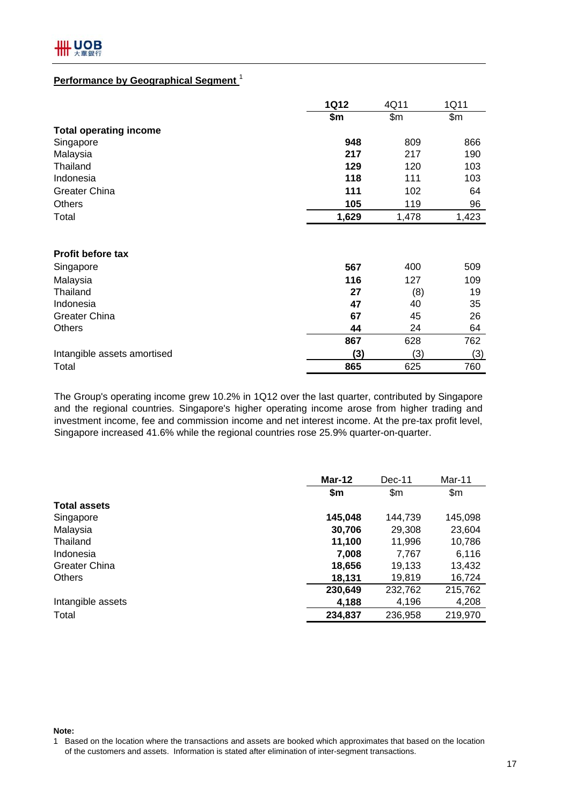#### **Performance by Geographical Segment** <sup>1</sup>

|                               | <b>1Q12</b> | 4Q11  | 1Q11  |
|-------------------------------|-------------|-------|-------|
|                               | \$m         | \$m\$ | \$m\$ |
| <b>Total operating income</b> |             |       |       |
| Singapore                     | 948         | 809   | 866   |
| Malaysia                      | 217         | 217   | 190   |
| Thailand                      | 129         | 120   | 103   |
| Indonesia                     | 118         | 111   | 103   |
| Greater China                 | 111         | 102   | 64    |
| <b>Others</b>                 | 105         | 119   | 96    |
| Total                         | 1,629       | 1,478 | 1,423 |
| Profit before tax             |             |       |       |
| Singapore                     | 567         | 400   | 509   |
| Malaysia                      | 116         | 127   | 109   |
| Thailand                      | 27          | (8)   | 19    |
| Indonesia                     | 47          | 40    | 35    |
| <b>Greater China</b>          | 67          | 45    | 26    |
| Others                        | 44          | 24    | 64    |
|                               | 867         | 628   | 762   |
| Intangible assets amortised   | (3)         | (3)   | (3)   |
| Total                         | 865         | 625   | 760   |

The Group's operating income grew 10.2% in 1Q12 over the last quarter, contributed by Singapore and the regional countries. Singapore's higher operating income arose from higher trading and investment income, fee and commission income and net interest income. At the pre-tax profit level, Singapore increased 41.6% while the regional countries rose 25.9% quarter-on-quarter.

|                      | Mar-12  | $Dec-11$ | Mar-11  |
|----------------------|---------|----------|---------|
|                      | \$m     | \$m\$    | \$m\$   |
| <b>Total assets</b>  |         |          |         |
| Singapore            | 145,048 | 144,739  | 145,098 |
| Malaysia             | 30,706  | 29,308   | 23,604  |
| Thailand             | 11,100  | 11,996   | 10,786  |
| Indonesia            | 7,008   | 7,767    | 6,116   |
| <b>Greater China</b> | 18,656  | 19,133   | 13,432  |
| <b>Others</b>        | 18,131  | 19,819   | 16,724  |
|                      | 230,649 | 232,762  | 215,762 |
| Intangible assets    | 4,188   | 4,196    | 4,208   |
| Total                | 234,837 | 236,958  | 219,970 |

**Note:**

<sup>1</sup> Based on the location where the transactions and assets are booked which approximates that based on the location of the customers and assets. Information is stated after elimination of inter-segment transactions.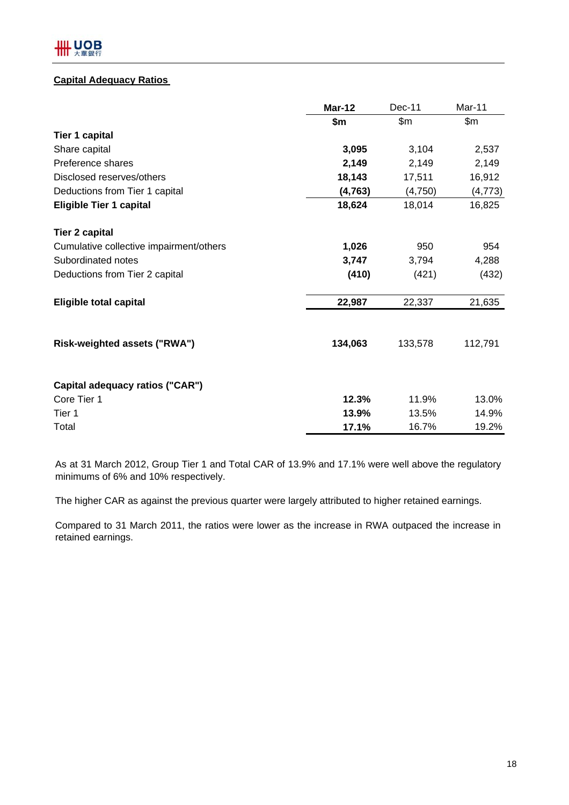#### **Capital Adequacy Ratios**

|                                         | <b>Mar-12</b> | Dec-11  | Mar-11   |
|-----------------------------------------|---------------|---------|----------|
|                                         | \$m\$         | \$m\$   | \$m\$    |
| <b>Tier 1 capital</b>                   |               |         |          |
| Share capital                           | 3,095         | 3,104   | 2,537    |
| Preference shares                       | 2,149         | 2,149   | 2,149    |
| Disclosed reserves/others               | 18,143        | 17,511  | 16,912   |
| Deductions from Tier 1 capital          | (4, 763)      | (4,750) | (4, 773) |
| <b>Eligible Tier 1 capital</b>          | 18,624        | 18,014  | 16,825   |
| <b>Tier 2 capital</b>                   |               |         |          |
| Cumulative collective impairment/others | 1,026         | 950     | 954      |
| Subordinated notes                      | 3,747         | 3,794   | 4,288    |
| Deductions from Tier 2 capital          | (410)         | (421)   | (432)    |
| <b>Eligible total capital</b>           | 22,987        | 22,337  | 21,635   |
| Risk-weighted assets ("RWA")            | 134,063       | 133,578 | 112,791  |
| Capital adequacy ratios ("CAR")         |               |         |          |
| Core Tier 1                             | 12.3%         | 11.9%   | 13.0%    |
| Tier 1                                  | 13.9%         | 13.5%   | 14.9%    |
| Total                                   | 17.1%         | 16.7%   | 19.2%    |

As at 31 March 2012, Group Tier 1 and Total CAR of 13.9% and 17.1% were well above the regulatory minimums of 6% and 10% respectively.

The higher CAR as against the previous quarter were largely attributed to higher retained earnings.

Compared to 31 March 2011, the ratios were lower as the increase in RWA outpaced the increase in retained earnings.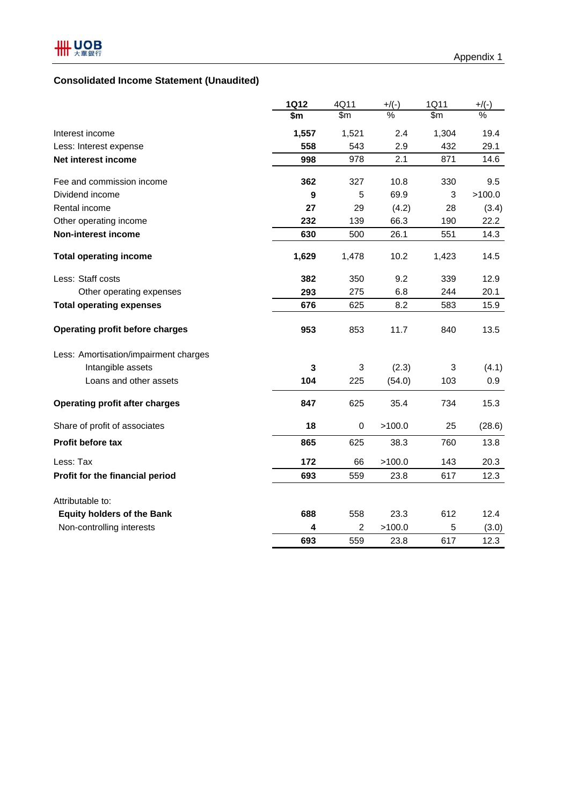## **Consolidated Income Statement (Unaudited)**

|                                       | <b>1Q12</b>  | 4Q11           | $+$ /(-)      | 1Q11          | $+$ /(-)      |
|---------------------------------------|--------------|----------------|---------------|---------------|---------------|
|                                       | \$m          | $\mathsf{S}$ m | $\frac{9}{6}$ | $\mathsf{Sm}$ | $\frac{0}{0}$ |
| Interest income                       | 1,557        | 1,521          | 2.4           | 1,304         | 19.4          |
| Less: Interest expense                | 558          | 543            | 2.9           | 432           | 29.1          |
| Net interest income                   | 998          | 978            | 2.1           | 871           | 14.6          |
| Fee and commission income             | 362          | 327            | 10.8          | 330           | 9.5           |
| Dividend income                       | 9            | 5              | 69.9          | 3             | >100.0        |
| Rental income                         | 27           | 29             | (4.2)         | 28            | (3.4)         |
| Other operating income                | 232          | 139            | 66.3          | 190           | 22.2          |
| <b>Non-interest income</b>            | 630          | 500            | 26.1          | 551           | 14.3          |
| <b>Total operating income</b>         | 1,629        | 1,478          | 10.2          | 1,423         | 14.5          |
| Less: Staff costs                     | 382          | 350            | 9.2           | 339           | 12.9          |
| Other operating expenses              | 293          | 275            | 6.8           | 244           | 20.1          |
| <b>Total operating expenses</b>       | 676          | 625            | 8.2           | 583           | 15.9          |
| Operating profit before charges       | 953          | 853            | 11.7          | 840           | 13.5          |
| Less: Amortisation/impairment charges |              |                |               |               |               |
| Intangible assets                     | $\mathbf{3}$ | 3              | (2.3)         | 3             | (4.1)         |
| Loans and other assets                | 104          | 225            | (54.0)        | 103           | 0.9           |
| <b>Operating profit after charges</b> | 847          | 625            | 35.4          | 734           | 15.3          |
| Share of profit of associates         | 18           | 0              | >100.0        | 25            | (28.6)        |
| <b>Profit before tax</b>              | 865          | 625            | 38.3          | 760           | 13.8          |
| Less: Tax                             | 172          | 66             | >100.0        | 143           | 20.3          |
| Profit for the financial period       | 693          | 559            | 23.8          | 617           | 12.3          |
| Attributable to:                      |              |                |               |               |               |
| <b>Equity holders of the Bank</b>     | 688          | 558            | 23.3          | 612           | 12.4          |
| Non-controlling interests             | 4            | $\overline{2}$ | >100.0        | 5             | (3.0)         |
|                                       | 693          | 559            | 23.8          | 617           | 12.3          |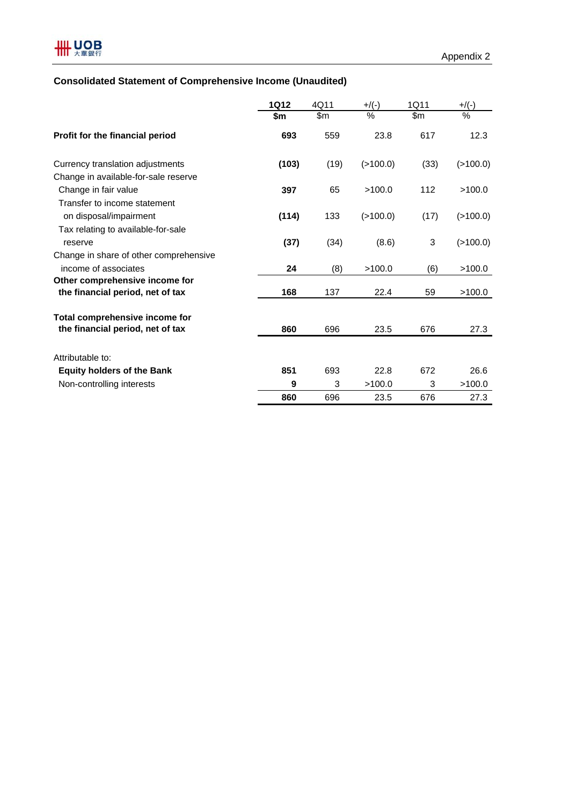## **Consolidated Statement of Comprehensive Income (Unaudited)**

|                                        | <b>1Q12</b> | 4Q11 | $+$ /(-) | 1Q11          | $+$ /(-)    |
|----------------------------------------|-------------|------|----------|---------------|-------------|
|                                        | \$m         | \$m  | %        | $\mathsf{Sm}$ | %           |
| Profit for the financial period        | 693         | 559  | 23.8     | 617           | 12.3        |
| Currency translation adjustments       | (103)       | (19) | (>100.0) | (33)          | $($ >100.0) |
| Change in available-for-sale reserve   |             |      |          |               |             |
| Change in fair value                   | 397         | 65   | >100.0   | 112           | >100.0      |
| Transfer to income statement           |             |      |          |               |             |
| on disposal/impairment                 | (114)       | 133  | (>100.0) | (17)          | $($ >100.0) |
| Tax relating to available-for-sale     |             |      |          |               |             |
| reserve                                | (37)        | (34) | (8.6)    | 3             | $($ >100.0) |
| Change in share of other comprehensive |             |      |          |               |             |
| income of associates                   | 24          | (8)  | >100.0   | (6)           | >100.0      |
| Other comprehensive income for         |             |      |          |               |             |
| the financial period, net of tax       | 168         | 137  | 22.4     | 59            | >100.0      |
| Total comprehensive income for         |             |      |          |               |             |
| the financial period, net of tax       | 860         | 696  | 23.5     | 676           | 27.3        |
| Attributable to:                       |             |      |          |               |             |
| <b>Equity holders of the Bank</b>      | 851         | 693  | 22.8     | 672           | 26.6        |
| Non-controlling interests              | 9           | 3    | >100.0   | 3             | >100.0      |
|                                        | 860         | 696  | 23.5     | 676           | 27.3        |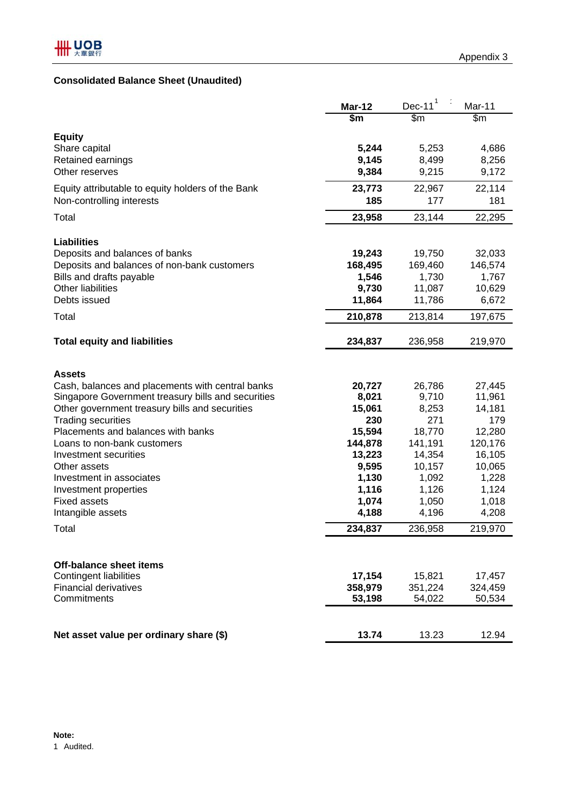## **Consolidated Balance Sheet (Unaudited)**

|                                                                               | <b>Mar-12</b>     | $Dec-111$         | Mar-11            |
|-------------------------------------------------------------------------------|-------------------|-------------------|-------------------|
|                                                                               | \$m               | \$m               | \$m               |
| <b>Equity</b>                                                                 |                   |                   |                   |
| Share capital                                                                 | 5,244             | 5,253             | 4,686             |
| Retained earnings                                                             | 9,145             | 8,499             | 8,256             |
| Other reserves                                                                | 9,384             | 9,215             | 9,172             |
| Equity attributable to equity holders of the Bank                             | 23,773            | 22,967            | 22,114            |
| Non-controlling interests                                                     | 185               | 177               | 181               |
| Total                                                                         | 23,958            | 23,144            | 22,295            |
|                                                                               |                   |                   |                   |
| <b>Liabilities</b>                                                            |                   |                   |                   |
| Deposits and balances of banks<br>Deposits and balances of non-bank customers | 19,243<br>168,495 | 19,750<br>169,460 | 32,033<br>146,574 |
| Bills and drafts payable                                                      | 1,546             | 1,730             | 1,767             |
| <b>Other liabilities</b>                                                      | 9,730             | 11,087            | 10,629            |
| Debts issued                                                                  | 11,864            | 11,786            | 6,672             |
| Total                                                                         | 210,878           | 213,814           | 197,675           |
|                                                                               |                   |                   |                   |
| <b>Total equity and liabilities</b>                                           | 234,837           | 236,958           | 219,970           |
|                                                                               |                   |                   |                   |
| <b>Assets</b>                                                                 |                   |                   |                   |
| Cash, balances and placements with central banks                              | 20,727            | 26,786            | 27,445            |
| Singapore Government treasury bills and securities                            | 8,021             | 9,710             | 11,961            |
| Other government treasury bills and securities                                | 15,061            | 8,253             | 14,181            |
| <b>Trading securities</b>                                                     | 230               | 271               | 179               |
| Placements and balances with banks                                            | 15,594            | 18,770            | 12,280            |
| Loans to non-bank customers                                                   | 144,878           | 141,191           | 120,176           |
| Investment securities                                                         | 13,223            | 14,354            | 16,105            |
| Other assets                                                                  | 9,595             | 10,157            | 10,065            |
| Investment in associates                                                      | 1,130             | 1,092             | 1,228             |
| Investment properties<br><b>Fixed assets</b>                                  | 1,116<br>1,074    | 1,126<br>1,050    | 1,124<br>1,018    |
| Intangible assets                                                             | 4,188             | 4,196             | 4,208             |
| Total                                                                         | 234,837           | 236,958           | 219,970           |
|                                                                               |                   |                   |                   |
|                                                                               |                   |                   |                   |
| Off-balance sheet items<br><b>Contingent liabilities</b>                      |                   |                   |                   |
| <b>Financial derivatives</b>                                                  | 17,154            | 15,821<br>351,224 | 17,457            |
| Commitments                                                                   | 358,979<br>53,198 | 54,022            | 324,459<br>50,534 |
|                                                                               |                   |                   |                   |
|                                                                               |                   |                   |                   |
| Net asset value per ordinary share (\$)                                       | 13.74             | 13.23             | 12.94             |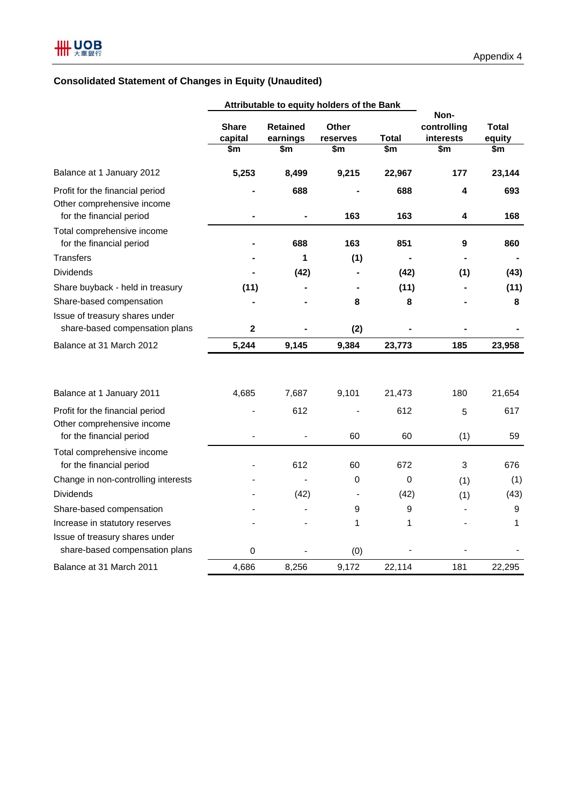## **Consolidated Statement of Changes in Equity (Unaudited)**

|                                                                                           |                         |                             | Attributable to equity holders of the Bank |              |                                  |                        |
|-------------------------------------------------------------------------------------------|-------------------------|-----------------------------|--------------------------------------------|--------------|----------------------------------|------------------------|
|                                                                                           | <b>Share</b><br>capital | <b>Retained</b><br>earnings | Other<br>reserves                          | <b>Total</b> | Non-<br>controlling<br>interests | <b>Total</b><br>equity |
|                                                                                           | \$m                     | \$m                         | \$m                                        | \$m          | \$m                              | \$m                    |
| Balance at 1 January 2012                                                                 | 5,253                   | 8,499                       | 9,215                                      | 22,967       | 177                              | 23,144                 |
| Profit for the financial period<br>Other comprehensive income<br>for the financial period |                         | 688                         | 163                                        | 688<br>163   | 4<br>4                           | 693<br>168             |
| Total comprehensive income<br>for the financial period                                    |                         | 688                         | 163                                        | 851          | 9                                | 860                    |
| <b>Transfers</b>                                                                          |                         | 1                           | (1)                                        |              |                                  |                        |
| <b>Dividends</b>                                                                          |                         | (42)                        |                                            | (42)         | (1)                              | (43)                   |
| Share buyback - held in treasury                                                          | (11)                    |                             |                                            | (11)         |                                  | (11)                   |
| Share-based compensation                                                                  |                         |                             | 8                                          | 8            |                                  | 8                      |
| Issue of treasury shares under<br>share-based compensation plans                          | $\mathbf 2$             |                             | (2)                                        |              |                                  |                        |
| Balance at 31 March 2012                                                                  | 5,244                   | 9,145                       | 9,384                                      | 23,773       | 185                              | 23,958                 |
| Balance at 1 January 2011                                                                 | 4,685                   | 7,687                       | 9,101                                      | 21,473       | 180                              | 21,654                 |
| Profit for the financial period                                                           |                         | 612                         |                                            | 612          | 5                                | 617                    |
| Other comprehensive income<br>for the financial period                                    |                         |                             | 60                                         | 60           | (1)                              | 59                     |
| Total comprehensive income<br>for the financial period                                    |                         | 612                         | 60                                         | 672          | 3                                | 676                    |
| Change in non-controlling interests                                                       |                         |                             | $\mathbf 0$                                | 0            | (1)                              | (1)                    |
| <b>Dividends</b>                                                                          |                         | (42)                        |                                            | (42)         | (1)                              | (43)                   |
| Share-based compensation                                                                  |                         |                             | 9                                          | 9            |                                  | $\boldsymbol{9}$       |
| Increase in statutory reserves                                                            |                         |                             | 1                                          | 1            |                                  | 1                      |
| Issue of treasury shares under<br>share-based compensation plans                          | 0                       |                             | (0)                                        |              |                                  |                        |
| Balance at 31 March 2011                                                                  | 4,686                   | 8,256                       | 9,172                                      | 22,114       | 181                              | 22,295                 |
|                                                                                           |                         |                             |                                            |              |                                  |                        |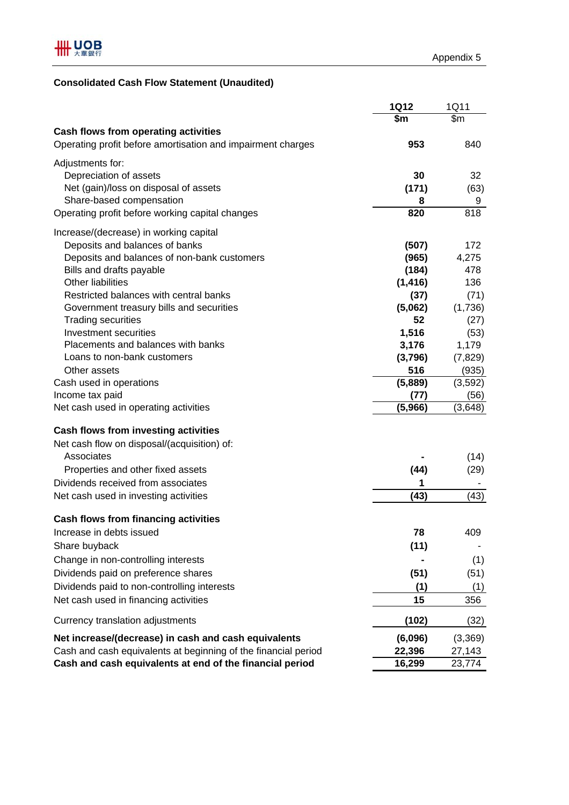## **Consolidated Cash Flow Statement (Unaudited)**

|                                                                | <b>1Q12</b> | 1Q11             |
|----------------------------------------------------------------|-------------|------------------|
|                                                                | \$m         | $\overline{\$m}$ |
| <b>Cash flows from operating activities</b>                    |             |                  |
| Operating profit before amortisation and impairment charges    | 953         | 840              |
| Adjustments for:                                               |             |                  |
| Depreciation of assets                                         | 30          | 32               |
| Net (gain)/loss on disposal of assets                          |             |                  |
| Share-based compensation                                       | (171)<br>8  | (63)<br>9        |
| Operating profit before working capital changes                | 820         | 818              |
|                                                                |             |                  |
| Increase/(decrease) in working capital                         |             |                  |
| Deposits and balances of banks                                 | (507)       | 172              |
| Deposits and balances of non-bank customers                    | (965)       | 4,275            |
| Bills and drafts payable                                       | (184)       | 478              |
| <b>Other liabilities</b>                                       | (1, 416)    | 136              |
| Restricted balances with central banks                         | (37)        | (71)             |
| Government treasury bills and securities                       | (5,062)     | (1,736)          |
| <b>Trading securities</b>                                      | 52          | (27)             |
| Investment securities                                          | 1,516       | (53)             |
| Placements and balances with banks                             | 3,176       | 1,179            |
| Loans to non-bank customers                                    | (3,796)     | (7, 829)         |
| Other assets                                                   | 516         | (935)            |
| Cash used in operations                                        | (5,889)     | (3,592)          |
| Income tax paid                                                | (77)        | (56)             |
| Net cash used in operating activities                          | (5,966)     | (3,648)          |
| <b>Cash flows from investing activities</b>                    |             |                  |
| Net cash flow on disposal/(acquisition) of:                    |             |                  |
| Associates                                                     |             | (14)             |
| Properties and other fixed assets                              | (44)        | (29)             |
| Dividends received from associates                             | 1           |                  |
| Net cash used in investing activities                          | (43)        | (43)             |
|                                                                |             |                  |
| <b>Cash flows from financing activities</b>                    |             |                  |
| Increase in debts issued                                       | 78          | 409              |
| Share buyback                                                  | (11)        |                  |
| Change in non-controlling interests                            |             | (1)              |
| Dividends paid on preference shares                            | (51)        | (51)             |
| Dividends paid to non-controlling interests                    | (1)         | (1)              |
| Net cash used in financing activities                          | 15          | 356              |
|                                                                |             |                  |
| Currency translation adjustments                               | (102)       | (32)             |
| Net increase/(decrease) in cash and cash equivalents           | (6,096)     | (3,369)          |
| Cash and cash equivalents at beginning of the financial period | 22,396      | 27,143           |
| Cash and cash equivalents at end of the financial period       | 16,299      | 23,774           |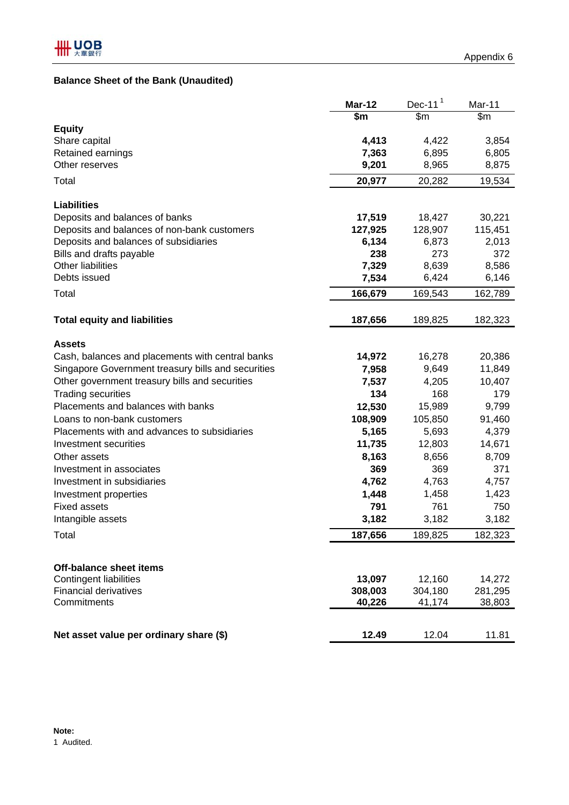### **Balance Sheet of the Bank (Unaudited)**

|                                                                 | Mar-12                 | $Dec-111$         | Mar-11            |
|-----------------------------------------------------------------|------------------------|-------------------|-------------------|
|                                                                 | $\overline{\text{sm}}$ | \$m               | $\overline{\$m}$  |
| <b>Equity</b>                                                   |                        |                   |                   |
| Share capital<br>Retained earnings                              | 4,413<br>7,363         | 4,422<br>6,895    | 3,854<br>6,805    |
| Other reserves                                                  | 9,201                  | 8,965             | 8,875             |
|                                                                 |                        |                   |                   |
| Total                                                           | 20,977                 | 20,282            | 19,534            |
| <b>Liabilities</b>                                              |                        |                   |                   |
| Deposits and balances of banks                                  | 17,519                 | 18,427            | 30,221            |
| Deposits and balances of non-bank customers                     | 127,925                | 128,907           | 115,451           |
| Deposits and balances of subsidiaries                           | 6,134                  | 6,873             | 2,013             |
| Bills and drafts payable                                        | 238                    | 273               | 372               |
| Other liabilities                                               | 7,329                  | 8,639             | 8,586             |
| Debts issued                                                    | 7,534                  | 6,424             | 6,146             |
| Total                                                           | 166,679                | 169,543           | 162,789           |
| <b>Total equity and liabilities</b>                             | 187,656                | 189,825           | 182,323           |
| <b>Assets</b>                                                   |                        |                   |                   |
| Cash, balances and placements with central banks                | 14,972                 | 16,278            | 20,386            |
| Singapore Government treasury bills and securities              | 7,958                  | 9,649             | 11,849            |
| Other government treasury bills and securities                  | 7,537                  | 4,205             | 10,407            |
| <b>Trading securities</b>                                       | 134                    | 168               | 179               |
| Placements and balances with banks                              | 12,530                 | 15,989            | 9,799             |
| Loans to non-bank customers                                     | 108,909                | 105,850           | 91,460            |
| Placements with and advances to subsidiaries                    | 5,165                  | 5,693             | 4,379             |
| Investment securities                                           | 11,735                 | 12,803            | 14,671            |
| Other assets                                                    | 8,163                  | 8,656             | 8,709             |
| Investment in associates                                        | 369                    | 369               | 371               |
| Investment in subsidiaries                                      | 4,762                  | 4,763             | 4,757             |
| Investment properties                                           | 1,448                  | 1,458             | 1,423             |
| <b>Fixed assets</b>                                             | 791                    | 761               | 750               |
| Intangible assets                                               | 3,182                  | 3,182             | 3,182             |
| Total                                                           | 187,656                | 189,825           | 182,323           |
|                                                                 |                        |                   |                   |
| <b>Off-balance sheet items</b><br><b>Contingent liabilities</b> |                        |                   |                   |
| <b>Financial derivatives</b>                                    | 13,097<br>308,003      | 12,160<br>304,180 | 14,272<br>281,295 |
| Commitments                                                     | 40,226                 | 41,174            | 38,803            |
|                                                                 |                        |                   |                   |
| Net asset value per ordinary share (\$)                         | 12.49                  | 12.04             | 11.81             |